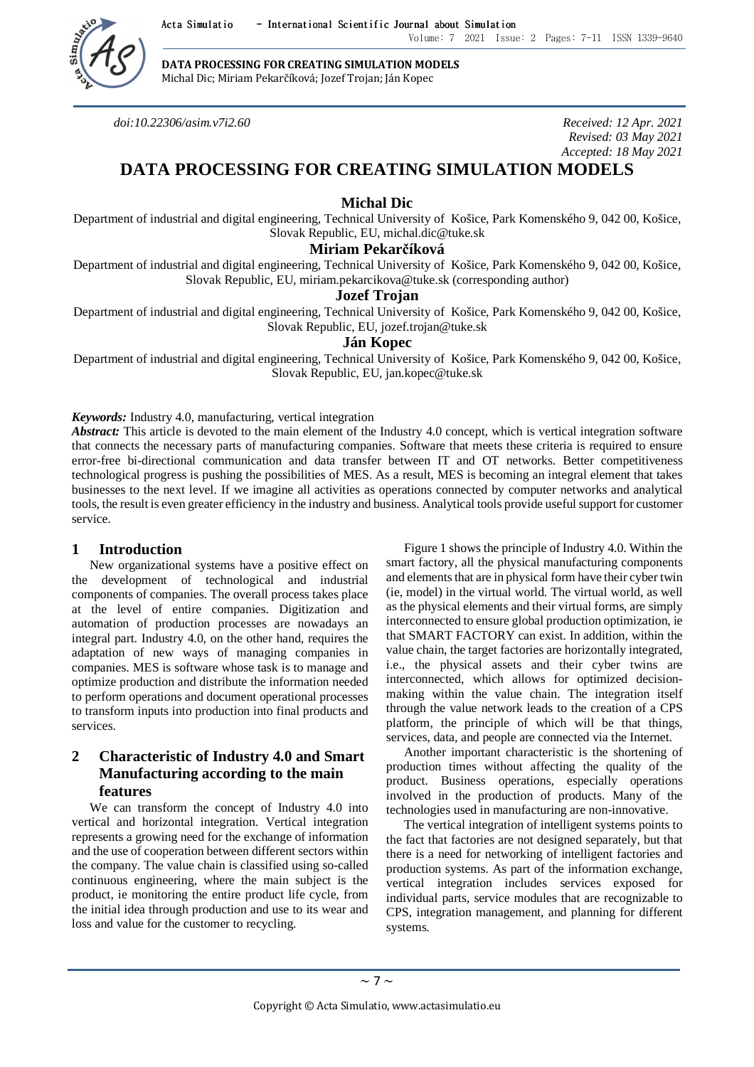

**DATA PROCESSING FOR CREATING SIMULATION MODELS**  Michal Dic; Miriam Pekarčíková; Jozef Trojan; Ján Kopec

*doi:10.22306/asim.v7i2.60 Received: 12 Apr. 2021* 

f

*Revised: 03 May 2021 Accepted: 18 May 2021*

# **DATA PROCESSING FOR CREATING SIMULATION MODELS**

**Michal Dic** 

Department of industrial and digital engineering, Technical University of Košice, Park Komenského 9, 042 00, Košice, Slovak Republic, EU, michal.dic@tuke.sk

### **Miriam Pekarčíková**

Department of industrial and digital engineering, Technical University of Košice, Park Komenského 9, 042 00, Košice, Slovak Republic, EU, miriam.pekarcikova@tuke.sk (corresponding author)

### **Jozef Trojan**

Department of industrial and digital engineering, Technical University of Košice, Park Komenského 9, 042 00, Košice, Slovak Republic, EU, jozef.trojan@tuke.sk

### **Ján Kopec**

Department of industrial and digital engineering, Technical University of Košice, Park Komenského 9, 042 00, Košice, Slovak Republic, EU, jan.kopec@tuke.sk

*Keywords:* Industry 4.0, manufacturing, vertical integration

*Abstract:* This article is devoted to the main element of the Industry 4.0 concept, which is vertical integration software that connects the necessary parts of manufacturing companies. Software that meets these criteria is required to ensure error-free bi-directional communication and data transfer between IT and OT networks. Better competitiveness technological progress is pushing the possibilities of MES. As a result, MES is becoming an integral element that takes businesses to the next level. If we imagine all activities as operations connected by computer networks and analytical tools, the result is even greater efficiency in the industry and business. Analytical tools provide useful support for customer service.

#### **1 Introduction**

New organizational systems have a positive effect on the development of technological and industrial components of companies. The overall process takes place at the level of entire companies. Digitization and automation of production processes are nowadays an integral part. Industry 4.0, on the other hand, requires the adaptation of new ways of managing companies in companies. MES is software whose task is to manage and optimize production and distribute the information needed to perform operations and document operational processes to transform inputs into production into final products and services.

# **2 Characteristic of Industry 4.0 and Smart Manufacturing according to the main features**

We can transform the concept of Industry 4.0 into vertical and horizontal integration. Vertical integration represents a growing need for the exchange of information and the use of cooperation between different sectors within the company. The value chain is classified using so-called continuous engineering, where the main subject is the product, ie monitoring the entire product life cycle, from the initial idea through production and use to its wear and loss and value for the customer to recycling.

Figure 1 shows the principle of Industry 4.0. Within the smart factory, all the physical manufacturing components and elements that are in physical form have their cyber twin (ie, model) in the virtual world. The virtual world, as well as the physical elements and their virtual forms, are simply interconnected to ensure global production optimization, ie that SMART FACTORY can exist. In addition, within the value chain, the target factories are horizontally integrated, i.e., the physical assets and their cyber twins are interconnected, which allows for optimized decisionmaking within the value chain. The integration itself through the value network leads to the creation of a CPS platform, the principle of which will be that things, services, data, and people are connected via the Internet.

Another important characteristic is the shortening of production times without affecting the quality of the product. Business operations, especially operations involved in the production of products. Many of the technologies used in manufacturing are non-innovative.

The vertical integration of intelligent systems points to the fact that factories are not designed separately, but that there is a need for networking of intelligent factories and production systems. As part of the information exchange, vertical integration includes services exposed for individual parts, service modules that are recognizable to CPS, integration management, and planning for different systems.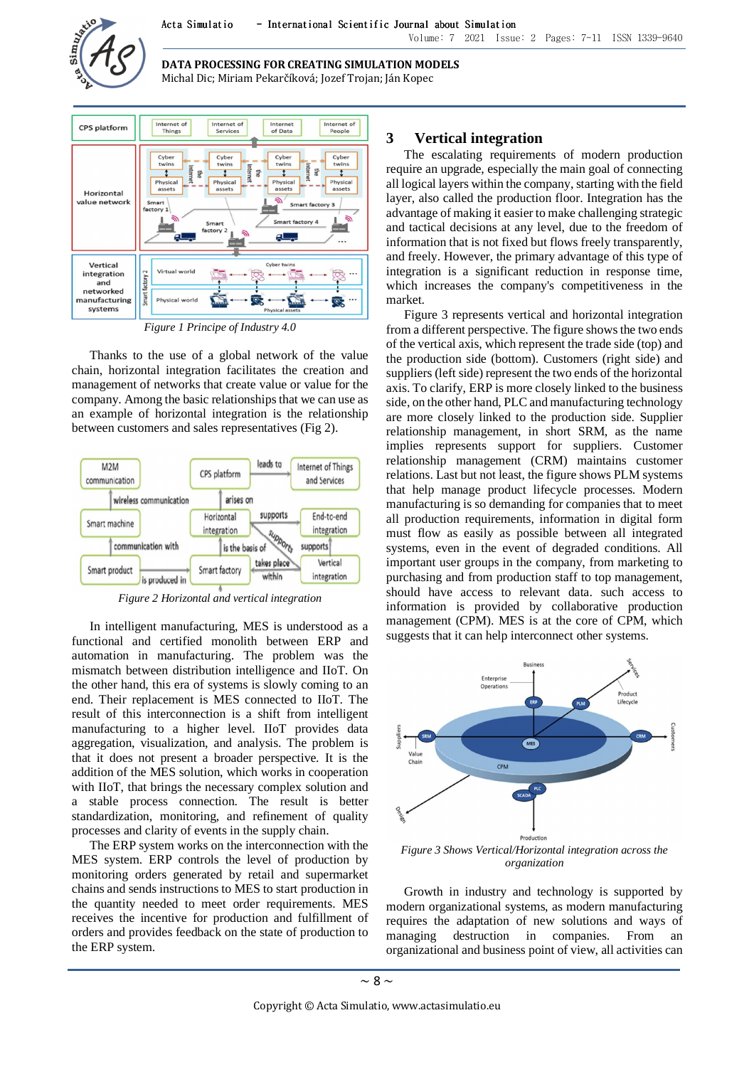

f

**DATA PROCESSING FOR CREATING SIMULATION MODELS**  Michal Dic; Miriam Pekarčíková; Jozef Trojan; Ján Kopec



*Figure 1 Principe of Industry 4.0* 

Thanks to the use of a global network of the value chain, horizontal integration facilitates the creation and management of networks that create value or value for the company. Among the basic relationships that we can use as an example of horizontal integration is the relationship between customers and sales representatives (Fig 2).



*Figure 2 Horizontal and vertical integration* 

In intelligent manufacturing, MES is understood as a functional and certified monolith between ERP and automation in manufacturing. The problem was the mismatch between distribution intelligence and IIoT. On the other hand, this era of systems is slowly coming to an end. Their replacement is MES connected to IIoT. The result of this interconnection is a shift from intelligent manufacturing to a higher level. IIoT provides data aggregation, visualization, and analysis. The problem is that it does not present a broader perspective. It is the addition of the MES solution, which works in cooperation with IIoT, that brings the necessary complex solution and a stable process connection. The result is better standardization, monitoring, and refinement of quality processes and clarity of events in the supply chain.

The ERP system works on the interconnection with the MES system. ERP controls the level of production by monitoring orders generated by retail and supermarket chains and sends instructions to MES to start production in the quantity needed to meet order requirements. MES receives the incentive for production and fulfillment of orders and provides feedback on the state of production to the ERP system.

### **3 Vertical integration**

The escalating requirements of modern production require an upgrade, especially the main goal of connecting all logical layers within the company, starting with the field layer, also called the production floor. Integration has the advantage of making it easier to make challenging strategic and tactical decisions at any level, due to the freedom of information that is not fixed but flows freely transparently, and freely. However, the primary advantage of this type of integration is a significant reduction in response time, which increases the company's competitiveness in the market.

Figure 3 represents vertical and horizontal integration from a different perspective. The figure shows the two ends of the vertical axis, which represent the trade side (top) and the production side (bottom). Customers (right side) and suppliers (left side) represent the two ends of the horizontal axis. To clarify, ERP is more closely linked to the business side, on the other hand, PLC and manufacturing technology are more closely linked to the production side. Supplier relationship management, in short SRM, as the name implies represents support for suppliers. Customer relationship management (CRM) maintains customer relations. Last but not least, the figure shows PLM systems that help manage product lifecycle processes. Modern manufacturing is so demanding for companies that to meet all production requirements, information in digital form must flow as easily as possible between all integrated systems, even in the event of degraded conditions. All important user groups in the company, from marketing to purchasing and from production staff to top management, should have access to relevant data. such access to information is provided by collaborative production management (CPM). MES is at the core of CPM, which suggests that it can help interconnect other systems.



*organization* 

Growth in industry and technology is supported by modern organizational systems, as modern manufacturing requires the adaptation of new solutions and ways of managing destruction in companies. From an organizational and business point of view, all activities can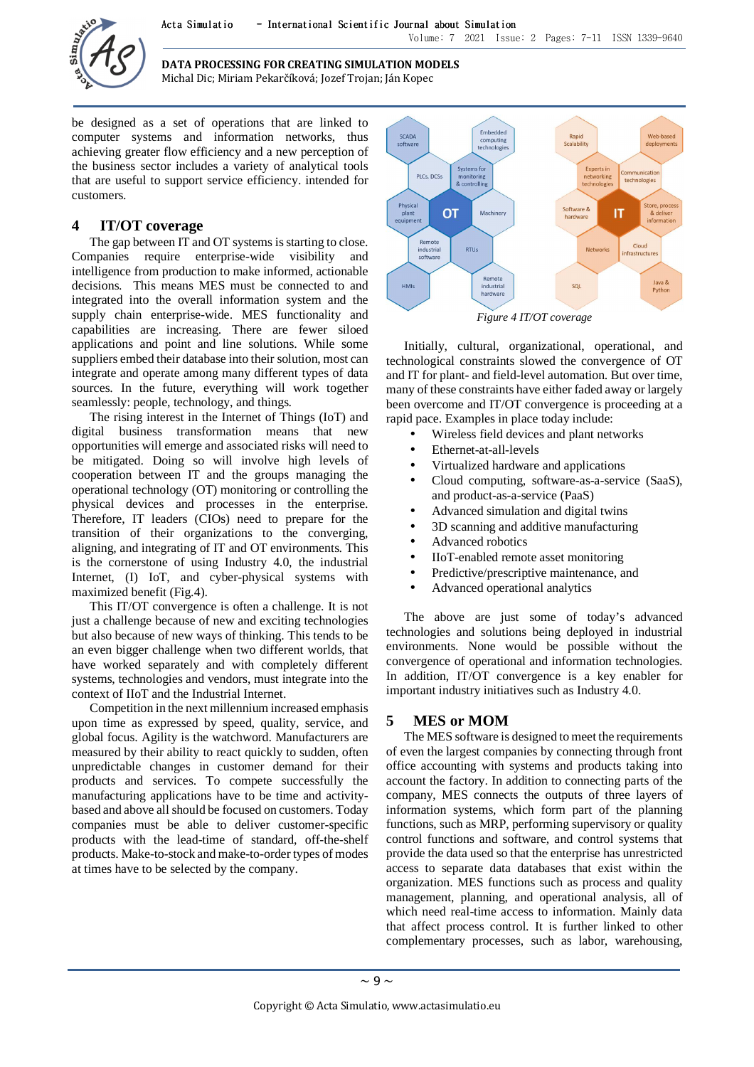

f

**DATA PROCESSING FOR CREATING SIMULATION MODELS**  Michal Dic; Miriam Pekarčíková; Jozef Trojan; Ján Kopec

be designed as a set of operations that are linked to computer systems and information networks, thus achieving greater flow efficiency and a new perception of the business sector includes a variety of analytical tools that are useful to support service efficiency. intended for customers.

# **4 IT/OT coverage**

The gap between IT and OT systems is starting to close. Companies require enterprise-wide visibility and intelligence from production to make informed, actionable decisions. This means MES must be connected to and integrated into the overall information system and the supply chain enterprise-wide. MES functionality and capabilities are increasing. There are fewer siloed applications and point and line solutions. While some suppliers embed their database into their solution, most can integrate and operate among many different types of data sources. In the future, everything will work together seamlessly: people, technology, and things.

The rising interest in the Internet of Things (IoT) and digital business transformation means that new opportunities will emerge and associated risks will need to be mitigated. Doing so will involve high levels of cooperation between IT and the groups managing the operational technology (OT) monitoring or controlling the physical devices and processes in the enterprise. Therefore, IT leaders (CIOs) need to prepare for the transition of their organizations to the converging, aligning, and integrating of IT and OT environments. This is the cornerstone of using Industry 4.0, the industrial Internet, (I) IoT, and cyber-physical systems with maximized benefit (Fig.4).

This IT/OT convergence is often a challenge. It is not just a challenge because of new and exciting technologies but also because of new ways of thinking. This tends to be an even bigger challenge when two different worlds, that have worked separately and with completely different systems, technologies and vendors, must integrate into the context of IIoT and the Industrial Internet.

Competition in the next millennium increased emphasis upon time as expressed by speed, quality, service, and global focus. Agility is the watchword. Manufacturers are measured by their ability to react quickly to sudden, often unpredictable changes in customer demand for their products and services. To compete successfully the manufacturing applications have to be time and activitybased and above all should be focused on customers. Today companies must be able to deliver customer-specific products with the lead-time of standard, off-the-shelf products. Make-to-stock and make-to-order types of modes at times have to be selected by the company.



*Figure 4 IT/OT coverage* 

Initially, cultural, organizational, operational, and technological constraints slowed the convergence of OT and IT for plant- and field-level automation. But over time, many of these constraints have either faded away or largely been overcome and IT/OT convergence is proceeding at a rapid pace. Examples in place today include:

- Wireless field devices and plant networks
- Ethernet-at-all-levels
- Virtualized hardware and applications
- Cloud computing, software-as-a-service (SaaS), and product-as-a-service (PaaS)
- Advanced simulation and digital twins
- 3D scanning and additive manufacturing
- Advanced robotics
- IIoT-enabled remote asset monitoring
- Predictive/prescriptive maintenance, and
- Advanced operational analytics

The above are just some of today's advanced technologies and solutions being deployed in industrial environments. None would be possible without the convergence of operational and information technologies. In addition, IT/OT convergence is a key enabler for important industry initiatives such as Industry 4.0.

# **5 MES or MOM**

The MES software is designed to meet the requirements of even the largest companies by connecting through front office accounting with systems and products taking into account the factory. In addition to connecting parts of the company, MES connects the outputs of three layers of information systems, which form part of the planning functions, such as MRP, performing supervisory or quality control functions and software, and control systems that provide the data used so that the enterprise has unrestricted access to separate data databases that exist within the organization. MES functions such as process and quality management, planning, and operational analysis, all of which need real-time access to information. Mainly data that affect process control. It is further linked to other complementary processes, such as labor, warehousing,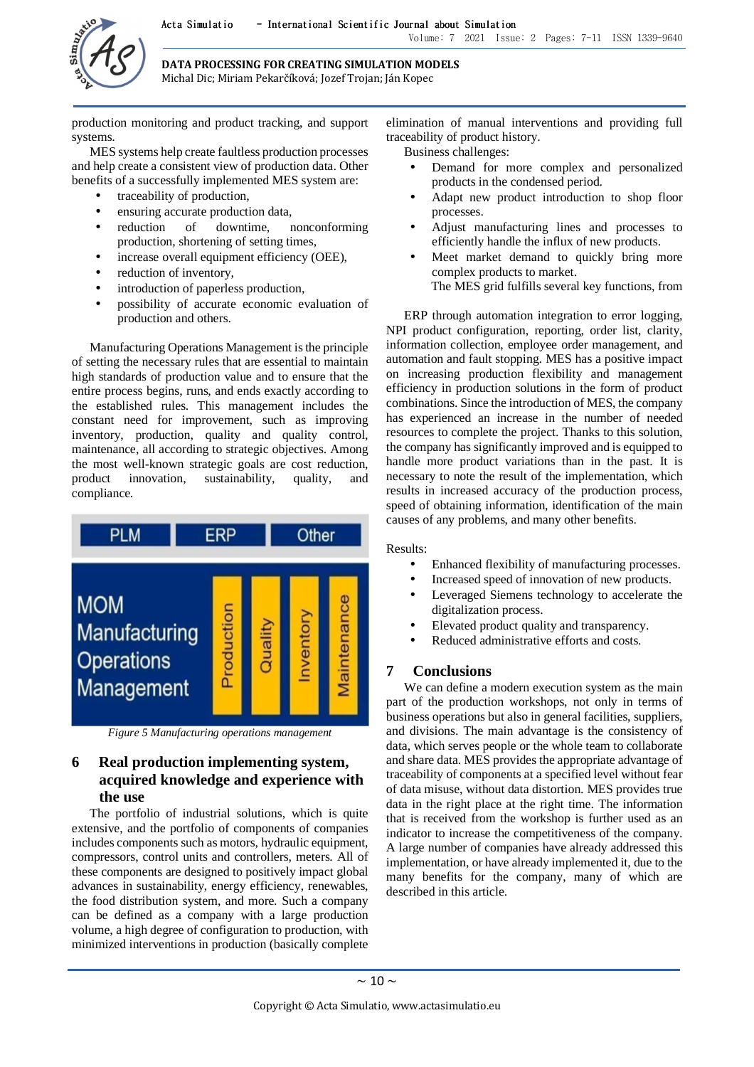

**DATA PROCESSING FOR CREATING SIMULATION MODELS**  Michal Dic; Miriam Pekarčíková; Jozef Trojan; Ján Kopec

production monitoring and product tracking, and support systems.

MES systems help create faultless production processes and help create a consistent view of production data. Other benefits of a successfully implemented MES system are:

traceability of production,

f

- ensuring accurate production data,
- reduction of downtime, nonconforming production, shortening of setting times,
- increase overall equipment efficiency (OEE),
- reduction of inventory,
- introduction of paperless production,
- possibility of accurate economic evaluation of production and others.

Manufacturing Operations Management is the principle of setting the necessary rules that are essential to maintain high standards of production value and to ensure that the entire process begins, runs, and ends exactly according to the established rules. This management includes the constant need for improvement, such as improving inventory, production, quality and quality control, maintenance, all according to strategic objectives. Among the most well-known strategic goals are cost reduction, product innovation, sustainability, quality, and compliance.



*Figure 5 Manufacturing operations management* 

# **6 Real production implementing system, acquired knowledge and experience with the use**

The portfolio of industrial solutions, which is quite extensive, and the portfolio of components of companies includes components such as motors, hydraulic equipment, compressors, control units and controllers, meters. All of these components are designed to positively impact global advances in sustainability, energy efficiency, renewables, the food distribution system, and more. Such a company can be defined as a company with a large production volume, a high degree of configuration to production, with minimized interventions in production (basically complete

elimination of manual interventions and providing full traceability of product history.

Business challenges:

- Demand for more complex and personalized products in the condensed period.
- Adapt new product introduction to shop floor processes.
- Adjust manufacturing lines and processes to efficiently handle the influx of new products.
- Meet market demand to quickly bring more complex products to market.

The MES grid fulfills several key functions, from

ERP through automation integration to error logging, NPI product configuration, reporting, order list, clarity, information collection, employee order management, and automation and fault stopping. MES has a positive impact on increasing production flexibility and management efficiency in production solutions in the form of product combinations. Since the introduction of MES, the company has experienced an increase in the number of needed resources to complete the project. Thanks to this solution, the company has significantly improved and is equipped to handle more product variations than in the past. It is necessary to note the result of the implementation, which results in increased accuracy of the production process, speed of obtaining information, identification of the main causes of any problems, and many other benefits.

#### Results:

- Enhanced flexibility of manufacturing processes.
- Increased speed of innovation of new products.
- Leveraged Siemens technology to accelerate the digitalization process.
- Elevated product quality and transparency.
- Reduced administrative efforts and costs.

# **7 Conclusions**

We can define a modern execution system as the main part of the production workshops, not only in terms of business operations but also in general facilities, suppliers, and divisions. The main advantage is the consistency of data, which serves people or the whole team to collaborate and share data. MES provides the appropriate advantage of traceability of components at a specified level without fear of data misuse, without data distortion. MES provides true data in the right place at the right time. The information that is received from the workshop is further used as an indicator to increase the competitiveness of the company. A large number of companies have already addressed this implementation, or have already implemented it, due to the many benefits for the company, many of which are described in this article.